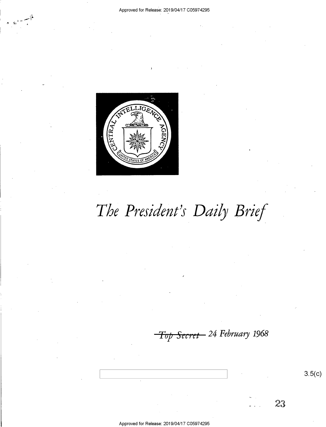

# The President's Daily Brief

<del>Top Secret -</del> 24 February 1968

 $3.5(c)$ 

23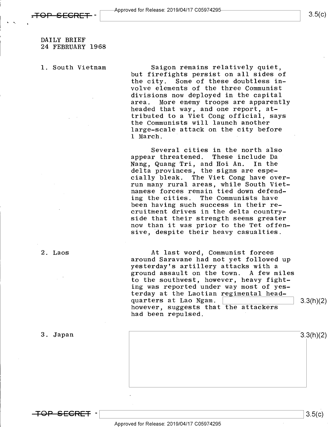### DAILY BRIEF 24 FEBRUARY 1968

l. South Vietnam

Saigon remains relatively quiet, but firefights persist on all sides of<br>the city. Some of these doubtless in-Some of these doubtless involve elements of the three Communist divisions now deployed in the capital More enemy troops are apparently headed that way, and one report, attributed to a Viet Cong official, says the Communists will launch another large-scale attack on the city before l March. '

Several cities in the north also appear threatened. These include Da<br>Nang. Quang Tri. and Hoi An. In the Nang, Quang Tri, and Hoi An. delta provinces, the signs are especially bleak. The Viet Cong have overrun many rural areas, while South Vietnamese forces remain tied down defending the cities. The Communists have been having such success in their recruitment drives in the delta countryside that their strength seems greater now than it was prior to the Tet offensive, despite their heavy casualties.

At last word, Communist forces<br>around Saravane had not yet followed up yesterday's artillery attacks with a ground assault on the town. A few miles to the southwest, however, heavy fighting was reported under way most of yesterday at the Laotian regimental head-<br>quarters at Lao Ngam. quarters at Lao Ngam. \ \ 3:3hX2) however, suggests that the attackers had been repulsed.

 $3.3(h)(2)$ 

3. Japan

2. Laos

<del>TOP SECRET</del> –

 $3.5(c)$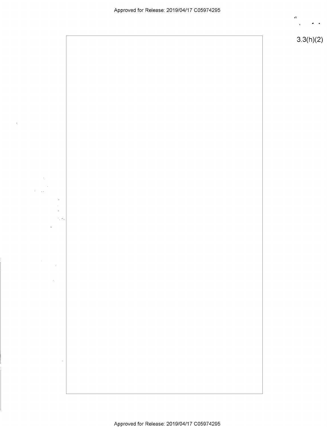

3.3(h)(2)



 $\hat{\mathbf{r}}$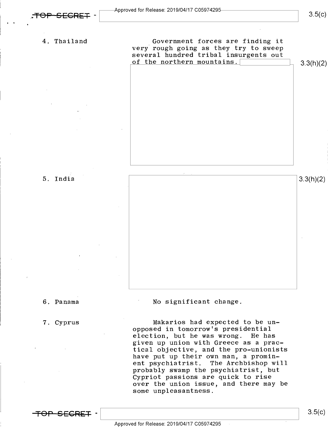$3.5(c)$ 

4. Thailand 'Government forces are finding it very rough going as they try to sweep several hundred tribal insurgents out of the northern mountains.  $\begin{bmatrix}3.3(h)(2)\end{bmatrix}$ 



6. Panama  $\blacksquare$  No significant change.

7. Cyprus Makarios had expected to be unopposed in tomorrow"s presidential election, but he was wrong. He has given up union with Greece as a practical objective, and the pro-unionists have put up their own man, a prominent psychiatrist. The Archbishop will probably swamp the psychiatrist, but Cypriot passions are quick to rise over the union issue, and there may be some unpleasantness.

<del>TOP SECRET</del> –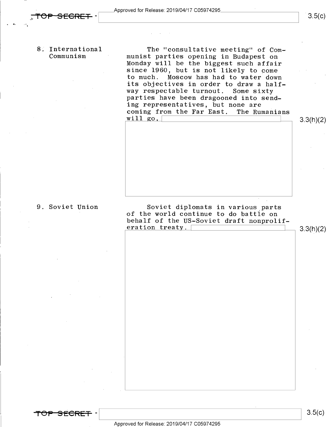>

8: International The "consultative meeting" of Com-<br>Communism '' munist parties opening in Budapest on<br>Monday will be the biggest such affair since 1960, but is not likely to come to much. Moscow has had to water down its objectives in order to draw a half-<br>way respectable turnout. Some sixty parties have been dragooned into sending representatives, but none are<br>coming from the Far East. The Rumanians coming from the Far East.<br>will go,

<del>TOP SECRET</del>

9. Soviet Union Soviet diplomats in various parts of the world continue to do battle on behalf of the US-Soviet draft nonprolif-<br>eration treaty.  $\boxed{\qquad \qquad}$  3.3(h)(2)

Approved for Release: 2019/O4/17 CO5974295

 $3.5(c)$ 

3.3(h)(2)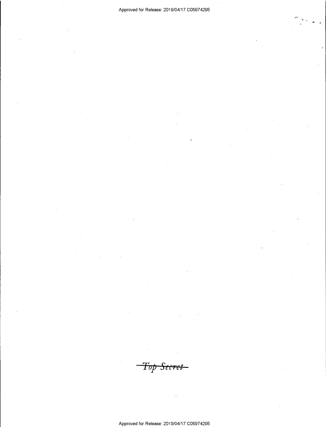$\tilde{\phantom{a}}$ 

<del>Top Secret -</del>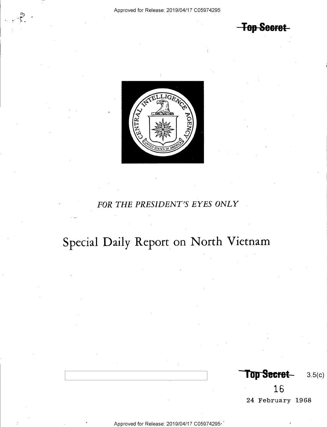**Top Secret** 



### FOR THE PRESIDENT'S EYES ONLY

## Special Daily Report on North Vietnam

Top Secret  $3.5(c)$ 

16 24 February 1968

Approved for Release: 2019/04/17 C05974295.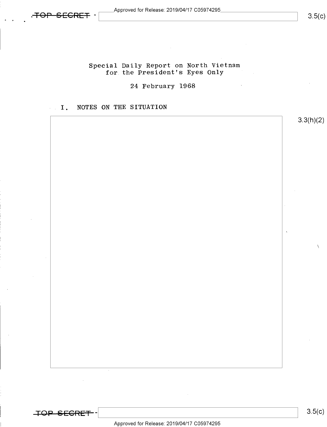

3.3(h)(2)

 $\mathcal{L}_{\mathcal{L}}$ 

# Special Daily Report on North Vietnam for the President's Eyes Only

### 24 February 1968

### I. NOTES ON THE SITUATION

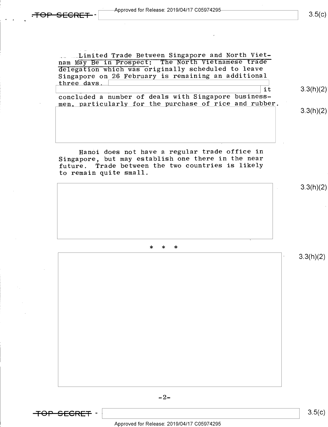<del>.TOP SECRET</del>

.. ...Limited Trade Between Singapore and North Vietnam May Be in Prospect: The Norfh Vietnamese trade delegation which was originally scheduled to leave Singapore on 26 February is remaining an additional three days.

concluded a number of deals with Singapore businessmen, particularly for the purchase of rice and rubber.

Hanoi does not have a regular trade office in Singapore, but may establish one there in the near future. Trade between the two countries is likely to remain quite small.

\* \* \*



 $3.5(c)$ 

 $3.3(h)(2)$ 

\it

3.3(h)(2)

3.3(h)(2)

3.3(h)(2)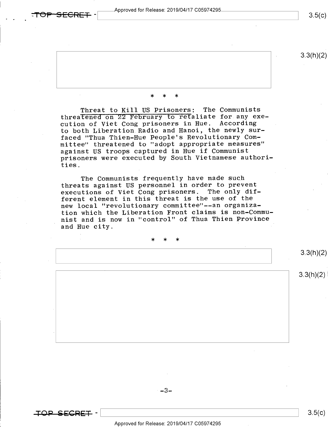$p_{\rm F}$   $\sim$   $p_{\rm F}$   $\sim$   $p_{\rm F}$   $\sim$   $p_{\rm F}$   $\sim$   $p_{\rm F}$   $\sim$   $p_{\rm F}$  and  $p_{\rm F}$  are  $\sim$   $p_{\rm F}$   $\sim$   $p_{\rm F}$   $\sim$   $p_{\rm F}$   $\sim$   $p_{\rm F}$   $\sim$   $p_{\rm F}$   $\sim$   $p_{\rm F}$   $\sim$   $p_{\rm F}$   $\sim$   $p_{\rm F}$   $\sim$   $p_{\rm F}$ 

 $3.5(c)$ 

3.3(h)(2)

#### \* \* \*

Threat to Kill US Prisoners: The Communists threatened on 22 February to refaliate for any execution of Viet Cong prisoners in Hue. According to both Liberation Radio and Hanoi, the newly surfaced "Thua Thien-Hue People's Revolutionary Committee" threatened to "adopt appropriate measures" against US troops captured in Hue if Communist prisoners were executed by South Vietnamese authorities.

The Communists frequently have made such threats against US personnel in order to prevent executions of Viet Cong prisoners. The only different element in this threat is the use of the new local "revolutionary committee"--an organization which the Liberation Front claims is non-Commu nist and is now in "control" of Thua Thien Province and Hue city.

\* \* \*

3.3(h)(2)

 $3.3(h)(2)$ 

 $-3-$ 

 $\overline{\phantom{a}}$  s.s(c)